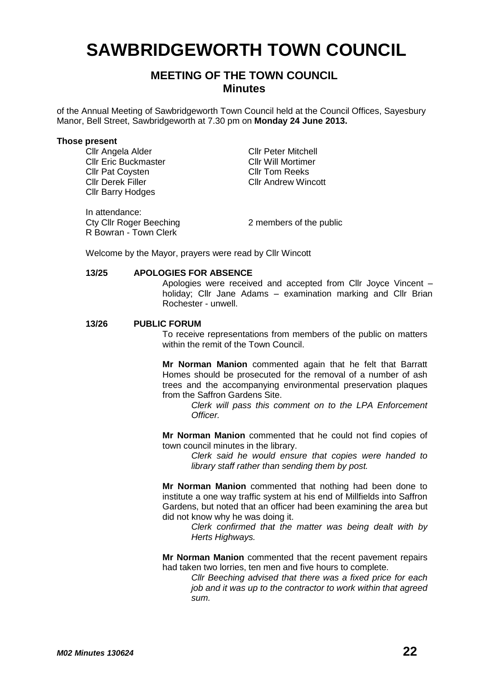# **SAWBRIDGEWORTH TOWN COUNCIL**

# **MEETING OF THE TOWN COUNCIL Minutes**

of the Annual Meeting of Sawbridgeworth Town Council held at the Council Offices, Sayesbury Manor, Bell Street, Sawbridgeworth at 7.30 pm on **Monday 24 June 2013.**

#### **Those present**

Cllr Angela Alder Cllr Peter Mitchell<br>Cllr Eric Buckmaster Cllr Will Mortimer **Cllr Eric Buckmaster Cllr Will Mortimer Cllr Pat Covsten Cllr Pat Covsten Cllr Tom Reeks** Cllr Pat Coysten<br>Cllr Derek Filler Cllr Barry Hodges

In attendance:<br>Cty Cllr Roger Beeching R Bowran - Town Clerk

Cllr Andrew Wincott

2 members of the public

Welcome by the Mayor, prayers were read by Cllr Wincott

#### **13/25 APOLOGIES FOR ABSENCE**

Apologies were received and accepted from Cllr Joyce Vincent – holiday; Cllr Jane Adams – examination marking and Cllr Brian Rochester - unwell.

#### **13/26 PUBLIC FORUM**

To receive representations from members of the public on matters within the remit of the Town Council.

**Mr Norman Manion** commented again that he felt that Barratt Homes should be prosecuted for the removal of a number of ash trees and the accompanying environmental preservation plaques from the Saffron Gardens Site.

> *Clerk will pass this comment on to the LPA Enforcement Officer.*

**Mr Norman Manion** commented that he could not find copies of town council minutes in the library.

> *Clerk said he would ensure that copies were handed to library staff rather than sending them by post.*

**Mr Norman Manion** commented that nothing had been done to institute a one way traffic system at his end of Millfields into Saffron Gardens, but noted that an officer had been examining the area but did not know why he was doing it.

*Clerk confirmed that the matter was being dealt with by Herts Highways.*

**Mr Norman Manion** commented that the recent pavement repairs had taken two lorries, ten men and five hours to complete.

*Cllr Beeching advised that there was a fixed price for each job and it was up to the contractor to work within that agreed sum.*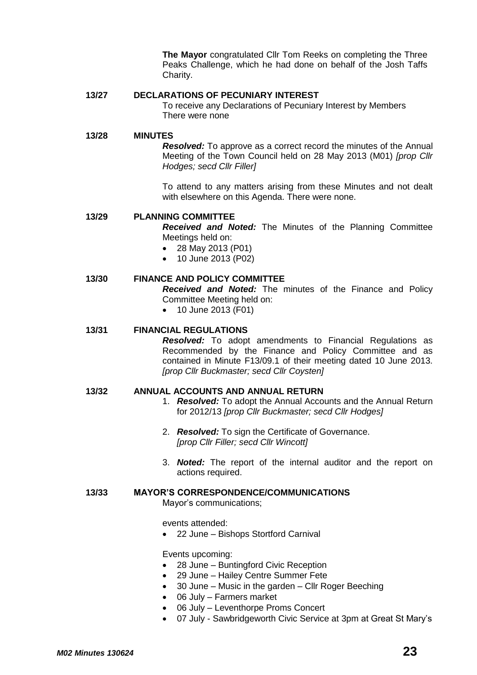**The Mayor** congratulated Cllr Tom Reeks on completing the Three Peaks Challenge, which he had done on behalf of the Josh Taffs Charity.

# **13/27 DECLARATIONS OF PECUNIARY INTEREST**

To receive any Declarations of Pecuniary Interest by Members There were none

### **13/28 MINUTES**

*Resolved:* To approve as a correct record the minutes of the Annual Meeting of the Town Council held on 28 May 2013 (M01) *[prop Cllr Hodges; secd Cllr Filler]*

To attend to any matters arising from these Minutes and not dealt with elsewhere on this Agenda. There were none.

#### **13/29 PLANNING COMMITTEE**

*Received and Noted:* The Minutes of the Planning Committee Meetings held on:

- 28 May 2013 (P01)
- 10 June 2013 (P02)

# **13/30 FINANCE AND POLICY COMMITTEE**

*Received and Noted:* The minutes of the Finance and Policy Committee Meeting held on:

• 10 June 2013 (F01)

# **13/31 FINANCIAL REGULATIONS**

*Resolved:* To adopt amendments to Financial Regulations as Recommended by the Finance and Policy Committee and as contained in Minute F13/09.1 of their meeting dated 10 June 2013. *[prop Cllr Buckmaster; secd Cllr Coysten]*

# **13/32 ANNUAL ACCOUNTS AND ANNUAL RETURN**

- 1. *Resolved:* To adopt the Annual Accounts and the Annual Return for 2012/13 *[prop Cllr Buckmaster; secd Cllr Hodges]*
- 2. *Resolved:* To sign the Certificate of Governance. *[prop Cllr Filler; secd Cllr Wincott]*
- 3. *Noted:* The report of the internal auditor and the report on actions required.

# **13/33 MAYOR'S CORRESPONDENCE/COMMUNICATIONS**

Mayor's communications;

events attended:

22 June – Bishops Stortford Carnival

Events upcoming:

- 28 June Buntingford Civic Reception
- 29 June Hailey Centre Summer Fete
- 30 June Music in the garden Cllr Roger Beeching
- 06 July Farmers market
- 06 July Leventhorpe Proms Concert
- 07 July Sawbridgeworth Civic Service at 3pm at Great St Mary's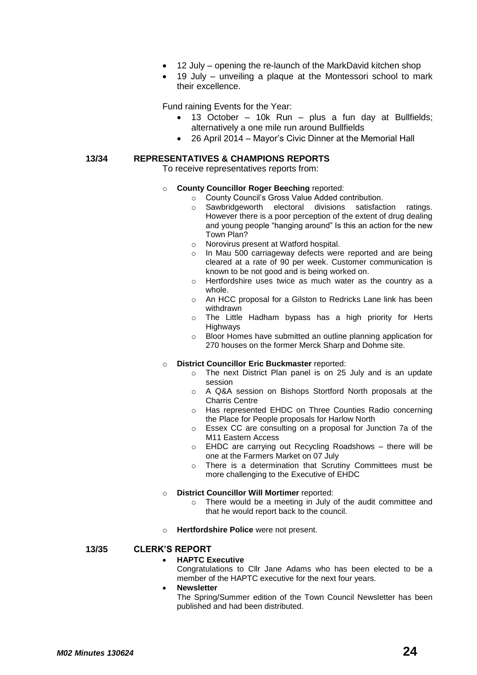- 12 July opening the re-launch of the MarkDavid kitchen shop
- 19 July unveiling a plaque at the Montessori school to mark their excellence.

Fund raining Events for the Year:

- 13 October 10k Run plus a fun day at Bullfields; alternatively a one mile run around Bullfields
	- 26 April 2014 Mayor's Civic Dinner at the Memorial Hall

#### **13/34 REPRESENTATIVES & CHAMPIONS REPORTS**

To receive representatives reports from:

- o **County Councillor Roger Beeching** reported:
	- o County Council's Gross Value Added contribution.
	- o Sawbridgeworth electoral divisions satisfaction ratings. However there is a poor perception of the extent of drug dealing and young people "hanging around" Is this an action for the new Town Plan?
	- o Norovirus present at Watford hospital.
	- o In Mau 500 carriageway defects were reported and are being cleared at a rate of 90 per week. Customer communication is known to be not good and is being worked on.
	- o Hertfordshire uses twice as much water as the country as a whole.
	- o An HCC proposal for a Gilston to Redricks Lane link has been withdrawn
	- o The Little Hadham bypass has a high priority for Herts **Highways**
	- o Bloor Homes have submitted an outline planning application for 270 houses on the former Merck Sharp and Dohme site.

#### o **District Councillor Eric Buckmaster** reported:

- o The next District Plan panel is on 25 July and is an update session
- o A Q&A session on Bishops Stortford North proposals at the Charris Centre
- o Has represented EHDC on Three Counties Radio concerning the Place for People proposals for Harlow North
- o Essex CC are consulting on a proposal for Junction 7a of the M11 Eastern Access
- o EHDC are carrying out Recycling Roadshows there will be one at the Farmers Market on 07 July
- o There is a determination that Scrutiny Committees must be more challenging to the Executive of EHDC

#### o **District Councillor Will Mortimer** reported:

- o There would be a meeting in July of the audit committee and that he would report back to the council.
- o **Hertfordshire Police** were not present.

#### **13/35 CLERK'S REPORT**

#### **HAPTC Executive**

Congratulations to Cllr Jane Adams who has been elected to be a member of the HAPTC executive for the next four years.

#### **Newsletter**

The Spring/Summer edition of the Town Council Newsletter has been published and had been distributed.